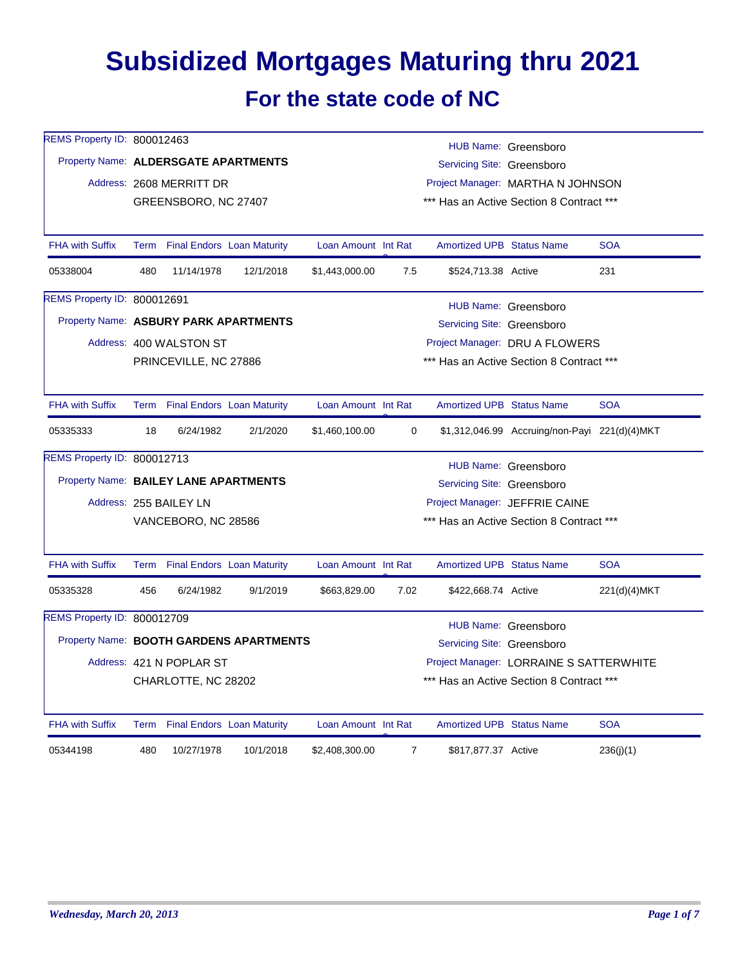## **Subsidized Mortgages Maturing thru 2021 For the state code of NC**

| REMS Property ID: 800012463           |                                                                                                                                     |                                 |                                         |                                          |                |                                  | HUB Name: Greensboro                          |              |  |
|---------------------------------------|-------------------------------------------------------------------------------------------------------------------------------------|---------------------------------|-----------------------------------------|------------------------------------------|----------------|----------------------------------|-----------------------------------------------|--------------|--|
|                                       | Property Name: ALDERSGATE APARTMENTS<br>Servicing Site: Greensboro<br>Project Manager: MARTHA N JOHNSON<br>Address: 2608 MERRITT DR |                                 |                                         |                                          |                |                                  |                                               |              |  |
|                                       |                                                                                                                                     |                                 |                                         |                                          |                |                                  |                                               |              |  |
|                                       |                                                                                                                                     | GREENSBORO, NC 27407            |                                         |                                          |                |                                  | *** Has an Active Section 8 Contract ***      |              |  |
|                                       |                                                                                                                                     |                                 |                                         |                                          |                |                                  |                                               |              |  |
| <b>FHA with Suffix</b>                |                                                                                                                                     | Term Final Endors Loan Maturity |                                         | Loan Amount Int Rat                      |                | <b>Amortized UPB Status Name</b> |                                               | <b>SOA</b>   |  |
| 05338004                              | 480                                                                                                                                 | 11/14/1978                      | 12/1/2018                               | \$1,443,000.00                           | 7.5            | \$524,713.38 Active              |                                               | 231          |  |
| REMS Property ID: 800012691           |                                                                                                                                     |                                 |                                         |                                          |                |                                  | HUB Name: Greensboro                          |              |  |
| Property Name: ASBURY PARK APARTMENTS |                                                                                                                                     |                                 |                                         |                                          |                | Servicing Site: Greensboro       |                                               |              |  |
|                                       |                                                                                                                                     | Address: 400 WALSTON ST         |                                         |                                          |                |                                  | Project Manager: DRU A FLOWERS                |              |  |
|                                       |                                                                                                                                     | PRINCEVILLE, NC 27886           |                                         |                                          |                |                                  | *** Has an Active Section 8 Contract ***      |              |  |
|                                       |                                                                                                                                     |                                 |                                         |                                          |                |                                  |                                               |              |  |
| <b>FHA with Suffix</b>                |                                                                                                                                     | Term Final Endors Loan Maturity |                                         | Loan Amount Int Rat                      |                | <b>Amortized UPB Status Name</b> |                                               | <b>SOA</b>   |  |
| 05335333                              | 18                                                                                                                                  | 6/24/1982                       | 2/1/2020                                | \$1,460,100.00                           | $\mathbf 0$    |                                  | \$1,312,046.99 Accruing/non-Payi 221(d)(4)MKT |              |  |
| REMS Property ID: 800012713           |                                                                                                                                     |                                 |                                         |                                          |                |                                  | HUB Name: Greensboro                          |              |  |
| Property Name: BAILEY LANE APARTMENTS |                                                                                                                                     |                                 |                                         |                                          |                | Servicing Site: Greensboro       |                                               |              |  |
|                                       |                                                                                                                                     | Address: 255 BAILEY LN          |                                         |                                          |                |                                  | Project Manager: JEFFRIE CAINE                |              |  |
|                                       |                                                                                                                                     | VANCEBORO, NC 28586             |                                         | *** Has an Active Section 8 Contract *** |                |                                  |                                               |              |  |
|                                       |                                                                                                                                     |                                 |                                         |                                          |                |                                  |                                               |              |  |
| <b>FHA with Suffix</b>                |                                                                                                                                     | Term Final Endors Loan Maturity |                                         | Loan Amount Int Rat                      |                | <b>Amortized UPB Status Name</b> |                                               | <b>SOA</b>   |  |
| 05335328                              | 456                                                                                                                                 | 6/24/1982                       | 9/1/2019                                | \$663,829.00                             | 7.02           | \$422,668.74 Active              |                                               | 221(d)(4)MKT |  |
| REMS Property ID: 800012709           |                                                                                                                                     |                                 |                                         |                                          |                |                                  | HUB Name: Greensboro                          |              |  |
|                                       |                                                                                                                                     |                                 | Property Name: BOOTH GARDENS APARTMENTS |                                          |                | Servicing Site: Greensboro       |                                               |              |  |
|                                       |                                                                                                                                     | Address: 421 N POPLAR ST        |                                         |                                          |                |                                  | Project Manager: LORRAINE S SATTERWHITE       |              |  |
|                                       |                                                                                                                                     | CHARLOTTE, NC 28202             |                                         |                                          |                |                                  | *** Has an Active Section 8 Contract ***      |              |  |
|                                       |                                                                                                                                     |                                 |                                         |                                          |                |                                  |                                               |              |  |
| <b>FHA with Suffix</b>                |                                                                                                                                     | Term Final Endors Loan Maturity |                                         | Loan Amount Int Rat                      |                | <b>Amortized UPB Status Name</b> |                                               | <b>SOA</b>   |  |
| 05344198                              | 480                                                                                                                                 | 10/27/1978                      | 10/1/2018                               | \$2,408,300.00                           | $\overline{7}$ | \$817,877.37 Active              |                                               | 236(j)(1)    |  |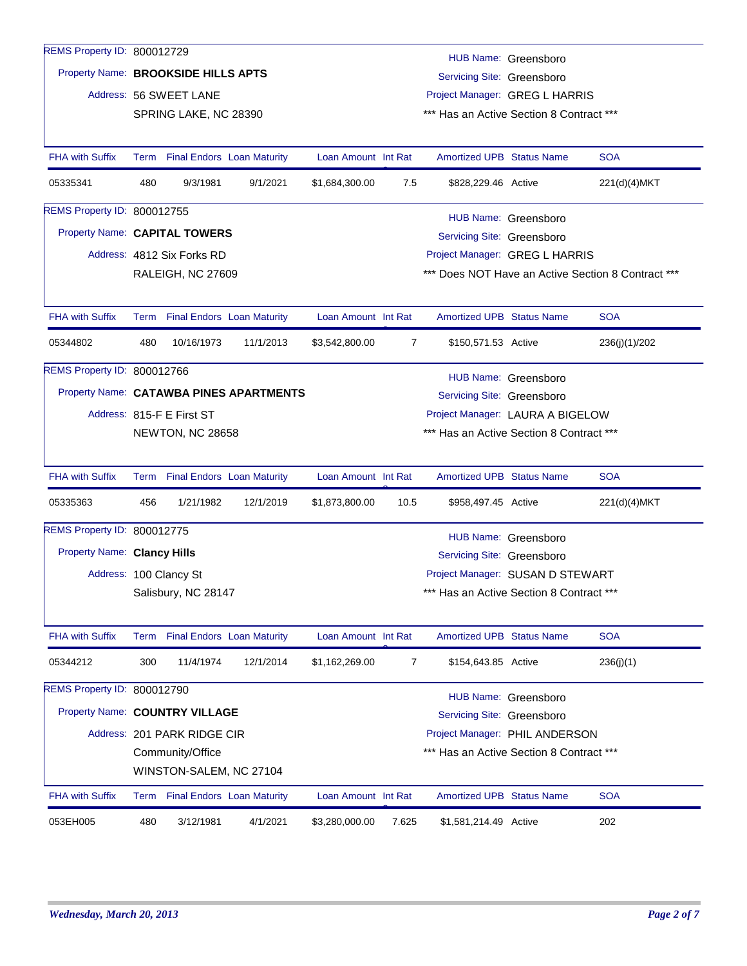| REMS Property ID: 800012729             |                                                                                     |                             |                                   |                     |                |                                                                | HUB Name: Greensboro |                                                    |  |  |
|-----------------------------------------|-------------------------------------------------------------------------------------|-----------------------------|-----------------------------------|---------------------|----------------|----------------------------------------------------------------|----------------------|----------------------------------------------------|--|--|
| Property Name: BROOKSIDE HILLS APTS     |                                                                                     |                             |                                   |                     |                | Servicing Site: Greensboro                                     |                      |                                                    |  |  |
|                                         |                                                                                     | Address: 56 SWEET LANE      |                                   |                     |                | Project Manager: GREG L HARRIS                                 |                      |                                                    |  |  |
|                                         |                                                                                     | SPRING LAKE, NC 28390       |                                   |                     |                | *** Has an Active Section 8 Contract ***                       |                      |                                                    |  |  |
|                                         |                                                                                     |                             |                                   |                     |                |                                                                |                      |                                                    |  |  |
| <b>FHA with Suffix</b>                  |                                                                                     |                             | Term Final Endors Loan Maturity   | Loan Amount Int Rat |                | <b>Amortized UPB Status Name</b>                               |                      | <b>SOA</b>                                         |  |  |
| 05335341                                | 480                                                                                 | 9/3/1981                    | 9/1/2021                          | \$1,684,300.00      | 7.5            | \$828,229.46 Active                                            |                      | 221(d)(4)MKT                                       |  |  |
| REMS Property ID: 800012755             |                                                                                     |                             |                                   |                     |                |                                                                |                      |                                                    |  |  |
|                                         | HUB Name: Greensboro<br>Property Name: CAPITAL TOWERS<br>Servicing Site: Greensboro |                             |                                   |                     |                |                                                                |                      |                                                    |  |  |
|                                         |                                                                                     | Address: 4812 Six Forks RD  |                                   |                     |                | Project Manager: GREG L HARRIS                                 |                      |                                                    |  |  |
|                                         |                                                                                     | RALEIGH, NC 27609           |                                   |                     |                |                                                                |                      | *** Does NOT Have an Active Section 8 Contract *** |  |  |
|                                         |                                                                                     |                             |                                   |                     |                |                                                                |                      |                                                    |  |  |
| <b>FHA with Suffix</b>                  | Term                                                                                |                             | <b>Final Endors Loan Maturity</b> | Loan Amount Int Rat |                | <b>Amortized UPB Status Name</b>                               |                      | <b>SOA</b>                                         |  |  |
| 05344802                                | 480                                                                                 | 10/16/1973                  | 11/1/2013                         | \$3,542,800.00      | $\overline{7}$ | \$150,571.53 Active                                            |                      | 236(j)(1)/202                                      |  |  |
| REMS Property ID: 800012766             |                                                                                     |                             |                                   |                     |                |                                                                | HUB Name: Greensboro |                                                    |  |  |
| Property Name: CATAWBA PINES APARTMENTS |                                                                                     |                             |                                   |                     |                |                                                                |                      |                                                    |  |  |
|                                         |                                                                                     | Address: 815-F E First ST   |                                   |                     |                | Servicing Site: Greensboro<br>Project Manager: LAURA A BIGELOW |                      |                                                    |  |  |
|                                         |                                                                                     | NEWTON, NC 28658            |                                   |                     |                | *** Has an Active Section 8 Contract ***                       |                      |                                                    |  |  |
|                                         |                                                                                     |                             |                                   |                     |                |                                                                |                      |                                                    |  |  |
| <b>FHA with Suffix</b>                  |                                                                                     |                             | Term Final Endors Loan Maturity   | Loan Amount Int Rat |                | <b>Amortized UPB Status Name</b>                               |                      | <b>SOA</b>                                         |  |  |
| 05335363                                | 456                                                                                 | 1/21/1982                   | 12/1/2019                         | \$1,873,800.00      | 10.5           | \$958,497.45 Active                                            |                      | 221(d)(4) MKT                                      |  |  |
| REMS Property ID: 800012775             |                                                                                     |                             |                                   |                     |                |                                                                | HUB Name: Greensboro |                                                    |  |  |
| <b>Property Name: Clancy Hills</b>      |                                                                                     |                             |                                   |                     |                | Servicing Site: Greensboro                                     |                      |                                                    |  |  |
|                                         |                                                                                     | Address: 100 Clancy St      |                                   |                     |                | Project Manager: SUSAN D STEWART                               |                      |                                                    |  |  |
|                                         |                                                                                     | Salisbury, NC 28147         |                                   |                     |                | *** Has an Active Section 8 Contract ***                       |                      |                                                    |  |  |
|                                         |                                                                                     |                             |                                   |                     |                |                                                                |                      |                                                    |  |  |
| <b>FHA with Suffix</b>                  |                                                                                     |                             | Term Final Endors Loan Maturity   | Loan Amount Int Rat |                | <b>Amortized UPB Status Name</b>                               |                      | <b>SOA</b>                                         |  |  |
| 05344212                                | 300                                                                                 | 11/4/1974                   | 12/1/2014                         | \$1,162,269.00      | 7              | \$154,643.85 Active                                            |                      | 236(j)(1)                                          |  |  |
| REMS Property ID: 800012790             |                                                                                     |                             |                                   |                     |                |                                                                | HUB Name: Greensboro |                                                    |  |  |
| Property Name: COUNTRY VILLAGE          |                                                                                     |                             |                                   |                     |                | Servicing Site: Greensboro                                     |                      |                                                    |  |  |
|                                         |                                                                                     | Address: 201 PARK RIDGE CIR |                                   |                     |                | Project Manager: PHIL ANDERSON                                 |                      |                                                    |  |  |
|                                         |                                                                                     | Community/Office            |                                   |                     |                | *** Has an Active Section 8 Contract ***                       |                      |                                                    |  |  |
|                                         |                                                                                     | WINSTON-SALEM, NC 27104     |                                   |                     |                |                                                                |                      |                                                    |  |  |
| <b>FHA with Suffix</b>                  | Term                                                                                |                             | <b>Final Endors</b> Loan Maturity | Loan Amount Int Rat |                | <b>Amortized UPB Status Name</b>                               |                      | <b>SOA</b>                                         |  |  |
|                                         |                                                                                     |                             |                                   |                     |                |                                                                |                      |                                                    |  |  |
| 053EH005                                | 480                                                                                 | 3/12/1981                   | 4/1/2021                          | \$3,280,000.00      | 7.625          | \$1,581,214.49 Active                                          |                      | 202                                                |  |  |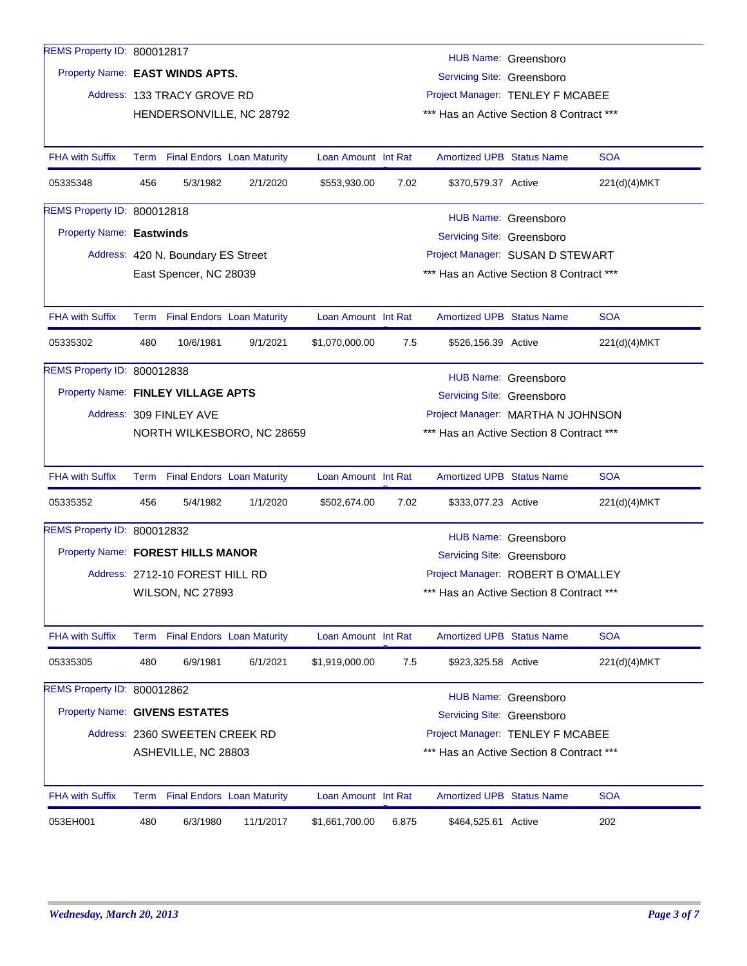| REMS Property ID: 800012817       |                                                                                            |                                                            |                            |                     |       |                                          | HUB Name: Greensboro |              |  |  |
|-----------------------------------|--------------------------------------------------------------------------------------------|------------------------------------------------------------|----------------------------|---------------------|-------|------------------------------------------|----------------------|--------------|--|--|
| Property Name: EAST WINDS APTS.   |                                                                                            |                                                            |                            |                     |       | Servicing Site: Greensboro               |                      |              |  |  |
|                                   |                                                                                            | Address: 133 TRACY GROVE RD                                |                            |                     |       | Project Manager: TENLEY F MCABEE         |                      |              |  |  |
|                                   |                                                                                            |                                                            | HENDERSONVILLE, NC 28792   |                     |       | *** Has an Active Section 8 Contract *** |                      |              |  |  |
|                                   |                                                                                            |                                                            |                            |                     |       |                                          |                      |              |  |  |
| <b>FHA with Suffix</b>            |                                                                                            | Term Final Endors Loan Maturity                            |                            | Loan Amount Int Rat |       | <b>Amortized UPB Status Name</b>         |                      | <b>SOA</b>   |  |  |
| 05335348                          | 456                                                                                        | 5/3/1982                                                   | 2/1/2020                   | \$553,930.00        | 7.02  | \$370,579.37 Active                      |                      | 221(d)(4)MKT |  |  |
| REMS Property ID: 800012818       |                                                                                            |                                                            |                            |                     |       |                                          | HUB Name: Greensboro |              |  |  |
| Property Name: Eastwinds          |                                                                                            |                                                            |                            |                     |       | Servicing Site: Greensboro               |                      |              |  |  |
|                                   |                                                                                            | Address: 420 N. Boundary ES Street                         |                            |                     |       | Project Manager: SUSAN D STEWART         |                      |              |  |  |
|                                   |                                                                                            | East Spencer, NC 28039                                     |                            |                     |       | *** Has an Active Section 8 Contract *** |                      |              |  |  |
|                                   |                                                                                            |                                                            |                            |                     |       |                                          |                      |              |  |  |
| <b>FHA with Suffix</b>            |                                                                                            | Term Final Endors Loan Maturity                            |                            | Loan Amount Int Rat |       | <b>Amortized UPB Status Name</b>         |                      | <b>SOA</b>   |  |  |
| 05335302                          | 480                                                                                        | 10/6/1981                                                  | 9/1/2021                   | \$1,070,000.00      | 7.5   | \$526,156.39 Active                      |                      | 221(d)(4)MKT |  |  |
| REMS Property ID: 800012838       |                                                                                            |                                                            |                            |                     |       |                                          |                      |              |  |  |
|                                   |                                                                                            | HUB Name: Greensboro<br>Property Name: FINLEY VILLAGE APTS |                            |                     |       |                                          |                      |              |  |  |
|                                   | Servicing Site: Greensboro<br>Address: 309 FINLEY AVE<br>Project Manager: MARTHA N JOHNSON |                                                            |                            |                     |       |                                          |                      |              |  |  |
|                                   |                                                                                            |                                                            | NORTH WILKESBORO, NC 28659 |                     |       | *** Has an Active Section 8 Contract *** |                      |              |  |  |
|                                   |                                                                                            |                                                            |                            |                     |       |                                          |                      |              |  |  |
| <b>FHA with Suffix</b>            |                                                                                            | Term Final Endors Loan Maturity                            |                            | Loan Amount Int Rat |       | <b>Amortized UPB Status Name</b>         |                      | <b>SOA</b>   |  |  |
| 05335352                          | 456                                                                                        | 5/4/1982                                                   | 1/1/2020                   | \$502,674.00        | 7.02  | \$333,077.23 Active                      |                      | 221(d)(4)MKT |  |  |
| REMS Property ID: 800012832       |                                                                                            |                                                            |                            |                     |       |                                          | HUB Name: Greensboro |              |  |  |
| Property Name: FOREST HILLS MANOR |                                                                                            |                                                            |                            |                     |       | Servicing Site: Greensboro               |                      |              |  |  |
|                                   |                                                                                            | Address: 2712-10 FOREST HILL RD                            |                            |                     |       | Project Manager: ROBERT B O'MALLEY       |                      |              |  |  |
|                                   |                                                                                            | <b>WILSON, NC 27893</b>                                    |                            |                     |       | *** Has an Active Section 8 Contract *** |                      |              |  |  |
|                                   |                                                                                            |                                                            |                            |                     |       |                                          |                      |              |  |  |
| <b>FHA with Suffix</b>            |                                                                                            | Term Final Endors Loan Maturity                            |                            | Loan Amount Int Rat |       | Amortized UPB Status Name                |                      | <b>SOA</b>   |  |  |
| 05335305                          | 480                                                                                        | 6/9/1981                                                   | 6/1/2021                   | \$1,919,000.00      | 7.5   | \$923,325.58 Active                      |                      | 221(d)(4)MKT |  |  |
| REMS Property ID: 800012862       |                                                                                            |                                                            |                            |                     |       |                                          | HUB Name: Greensboro |              |  |  |
| Property Name: GIVENS ESTATES     |                                                                                            |                                                            |                            |                     |       | Servicing Site: Greensboro               |                      |              |  |  |
|                                   |                                                                                            | Address: 2360 SWEETEN CREEK RD                             |                            |                     |       | Project Manager: TENLEY F MCABEE         |                      |              |  |  |
|                                   |                                                                                            | ASHEVILLE, NC 28803                                        |                            |                     |       | *** Has an Active Section 8 Contract *** |                      |              |  |  |
|                                   |                                                                                            |                                                            |                            |                     |       |                                          |                      |              |  |  |
| <b>FHA with Suffix</b>            |                                                                                            | Term Final Endors Loan Maturity                            |                            | Loan Amount Int Rat |       | <b>Amortized UPB Status Name</b>         |                      | <b>SOA</b>   |  |  |
| 053EH001                          | 480                                                                                        | 6/3/1980                                                   | 11/1/2017                  | \$1,661,700.00      | 6.875 | \$464,525.61 Active                      |                      | 202          |  |  |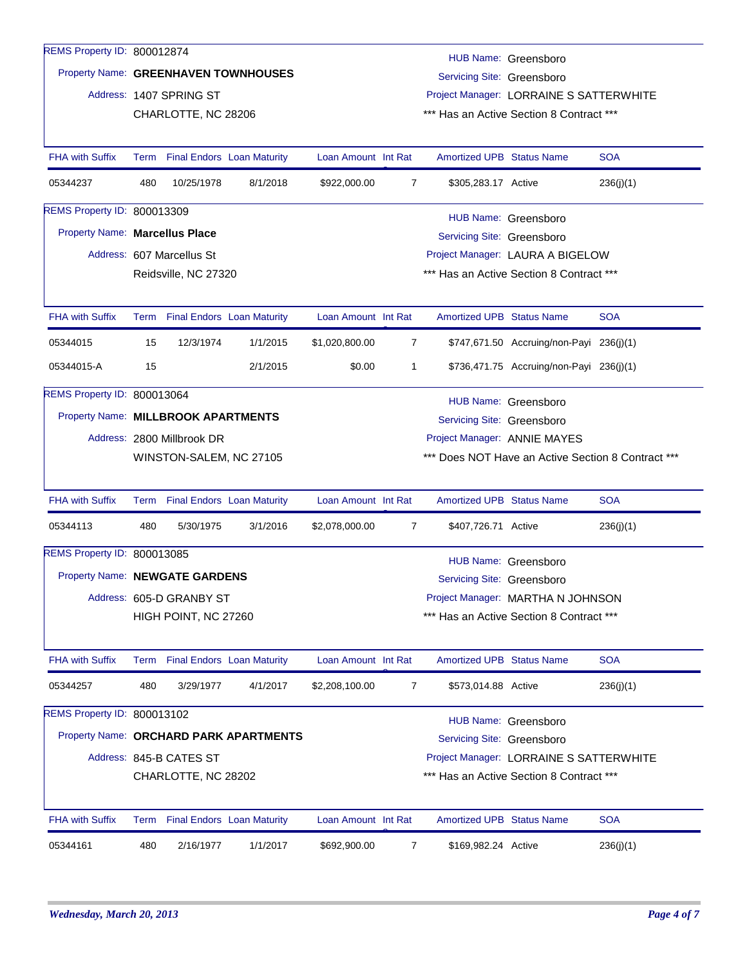| REMS Property ID: 800012874    |                                                                                                                                          |                            |                                        |                     |                |                                  |                                                    |            |  |  |
|--------------------------------|------------------------------------------------------------------------------------------------------------------------------------------|----------------------------|----------------------------------------|---------------------|----------------|----------------------------------|----------------------------------------------------|------------|--|--|
|                                |                                                                                                                                          |                            |                                        |                     |                |                                  | HUB Name: Greensboro                               |            |  |  |
|                                | Property Name: GREENHAVEN TOWNHOUSES<br>Servicing Site: Greensboro<br>Address: 1407 SPRING ST<br>Project Manager: LORRAINE S SATTERWHITE |                            |                                        |                     |                |                                  |                                                    |            |  |  |
|                                |                                                                                                                                          |                            |                                        |                     |                |                                  |                                                    |            |  |  |
|                                |                                                                                                                                          | CHARLOTTE, NC 28206        |                                        |                     |                |                                  | *** Has an Active Section 8 Contract ***           |            |  |  |
| <b>FHA with Suffix</b>         |                                                                                                                                          |                            | Term Final Endors Loan Maturity        | Loan Amount Int Rat |                | <b>Amortized UPB Status Name</b> |                                                    | <b>SOA</b> |  |  |
| 05344237                       | 480                                                                                                                                      | 10/25/1978                 | 8/1/2018                               | \$922,000.00        | 7              | \$305,283.17 Active              |                                                    | 236(j)(1)  |  |  |
| REMS Property ID: 800013309    |                                                                                                                                          |                            |                                        |                     |                |                                  | HUB Name: Greensboro                               |            |  |  |
| Property Name: Marcellus Place |                                                                                                                                          |                            |                                        |                     |                | Servicing Site: Greensboro       |                                                    |            |  |  |
|                                |                                                                                                                                          | Address: 607 Marcellus St  |                                        |                     |                |                                  | Project Manager: LAURA A BIGELOW                   |            |  |  |
|                                |                                                                                                                                          | Reidsville, NC 27320       |                                        |                     |                |                                  | *** Has an Active Section 8 Contract ***           |            |  |  |
| <b>FHA with Suffix</b>         |                                                                                                                                          |                            | Term Final Endors Loan Maturity        | Loan Amount Int Rat |                | <b>Amortized UPB Status Name</b> |                                                    | <b>SOA</b> |  |  |
| 05344015                       | 15                                                                                                                                       | 12/3/1974                  | 1/1/2015                               | \$1,020,800.00      | $\overline{7}$ |                                  | \$747,671.50 Accruing/non-Payi 236(j)(1)           |            |  |  |
| 05344015-A                     | 15                                                                                                                                       |                            | 2/1/2015                               | \$0.00              | 1              |                                  | \$736,471.75 Accruing/non-Payi 236(j)(1)           |            |  |  |
| REMS Property ID: 800013064    |                                                                                                                                          |                            |                                        |                     |                |                                  | HUB Name: Greensboro                               |            |  |  |
|                                | Property Name: MILLBROOK APARTMENTS<br>Servicing Site: Greensboro                                                                        |                            |                                        |                     |                |                                  |                                                    |            |  |  |
|                                |                                                                                                                                          | Address: 2800 Millbrook DR |                                        |                     |                | Project Manager: ANNIE MAYES     |                                                    |            |  |  |
|                                |                                                                                                                                          | WINSTON-SALEM, NC 27105    |                                        |                     |                |                                  | *** Does NOT Have an Active Section 8 Contract *** |            |  |  |
| <b>FHA with Suffix</b>         |                                                                                                                                          |                            | Term Final Endors Loan Maturity        | Loan Amount Int Rat |                | <b>Amortized UPB Status Name</b> |                                                    | <b>SOA</b> |  |  |
| 05344113                       | 480                                                                                                                                      | 5/30/1975                  | 3/1/2016                               | \$2,078,000.00      | 7              | \$407,726.71 Active              |                                                    | 236(j)(1)  |  |  |
| REMS Property ID: 800013085    |                                                                                                                                          |                            |                                        |                     |                |                                  | HUB Name: Greensboro                               |            |  |  |
| Property Name: NEWGATE GARDENS |                                                                                                                                          |                            |                                        |                     |                | Servicing Site: Greensboro       |                                                    |            |  |  |
|                                |                                                                                                                                          | Address: 605-D GRANBY ST   |                                        |                     |                |                                  | Project Manager: MARTHA N JOHNSON                  |            |  |  |
|                                |                                                                                                                                          | HIGH POINT, NC 27260       |                                        |                     |                |                                  | *** Has an Active Section 8 Contract ***           |            |  |  |
| <b>FHA with Suffix</b>         |                                                                                                                                          |                            | Term Final Endors Loan Maturity        | Loan Amount Int Rat |                | <b>Amortized UPB Status Name</b> |                                                    | <b>SOA</b> |  |  |
| 05344257                       | 480                                                                                                                                      | 3/29/1977                  | 4/1/2017                               | \$2,208,100.00      | $\overline{7}$ | \$573,014.88 Active              |                                                    | 236(j)(1)  |  |  |
| REMS Property ID: 800013102    |                                                                                                                                          |                            |                                        |                     |                |                                  | HUB Name: Greensboro                               |            |  |  |
|                                |                                                                                                                                          |                            | Property Name: ORCHARD PARK APARTMENTS |                     |                | Servicing Site: Greensboro       |                                                    |            |  |  |
|                                |                                                                                                                                          | Address: 845-B CATES ST    |                                        |                     |                |                                  | Project Manager: LORRAINE S SATTERWHITE            |            |  |  |
|                                |                                                                                                                                          | CHARLOTTE, NC 28202        |                                        |                     |                |                                  | *** Has an Active Section 8 Contract ***           |            |  |  |
| <b>FHA with Suffix</b>         |                                                                                                                                          |                            | Term Final Endors Loan Maturity        | Loan Amount Int Rat |                | <b>Amortized UPB Status Name</b> |                                                    | <b>SOA</b> |  |  |
| 05344161                       | 480                                                                                                                                      | 2/16/1977                  | 1/1/2017                               | \$692,900.00        | 7              | \$169,982.24 Active              |                                                    | 236(j)(1)  |  |  |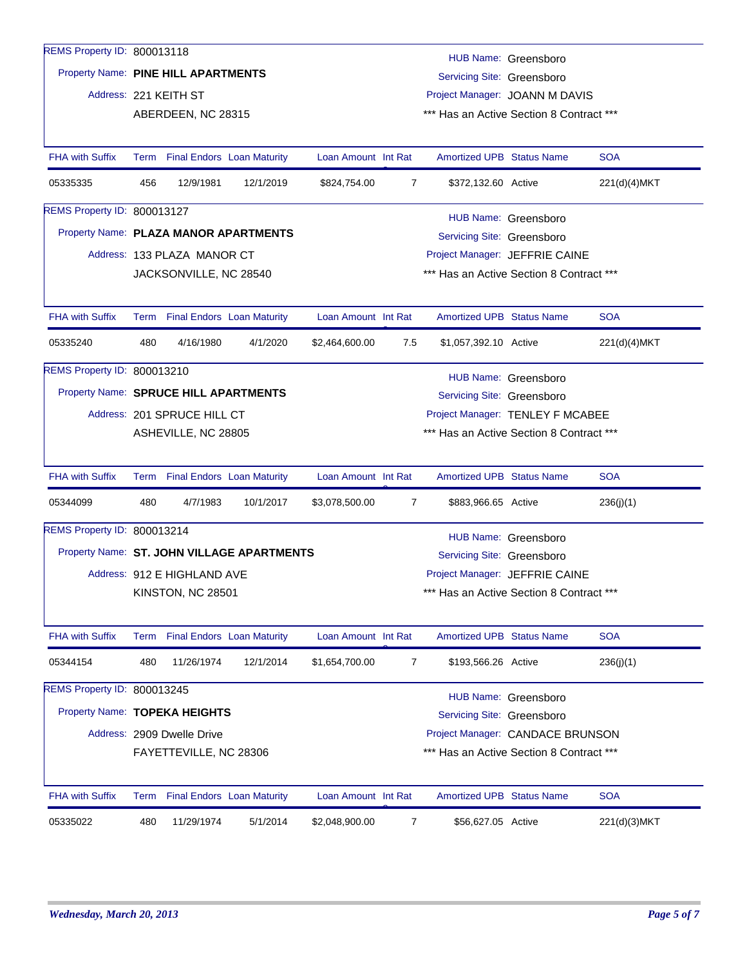| REMS Property ID: 800013118                |                                                                                                                                      |                                                                   |           |                     |                                                    |                                          |                                          |              |  |  |  |  |
|--------------------------------------------|--------------------------------------------------------------------------------------------------------------------------------------|-------------------------------------------------------------------|-----------|---------------------|----------------------------------------------------|------------------------------------------|------------------------------------------|--------------|--|--|--|--|
|                                            |                                                                                                                                      |                                                                   |           |                     |                                                    |                                          | HUB Name: Greensboro                     |              |  |  |  |  |
|                                            |                                                                                                                                      | Property Name: PINE HILL APARTMENTS<br>Servicing Site: Greensboro |           |                     |                                                    |                                          |                                          |              |  |  |  |  |
|                                            |                                                                                                                                      | Address: 221 KEITH ST                                             |           |                     |                                                    | Project Manager: JOANN M DAVIS           |                                          |              |  |  |  |  |
|                                            |                                                                                                                                      | ABERDEEN, NC 28315                                                |           |                     |                                                    | *** Has an Active Section 8 Contract *** |                                          |              |  |  |  |  |
|                                            |                                                                                                                                      |                                                                   |           |                     |                                                    |                                          |                                          |              |  |  |  |  |
| <b>FHA with Suffix</b>                     |                                                                                                                                      | Term Final Endors Loan Maturity                                   |           | Loan Amount Int Rat |                                                    | <b>Amortized UPB Status Name</b>         |                                          | <b>SOA</b>   |  |  |  |  |
| 05335335                                   | 456                                                                                                                                  | 12/9/1981                                                         | 12/1/2019 | \$824,754.00        | $\overline{7}$                                     | \$372,132.60 Active                      |                                          | 221(d)(4)MKT |  |  |  |  |
| REMS Property ID: 800013127                |                                                                                                                                      |                                                                   |           |                     |                                                    |                                          | HUB Name: Greensboro                     |              |  |  |  |  |
|                                            | Property Name: PLAZA MANOR APARTMENTS<br>Servicing Site: Greensboro                                                                  |                                                                   |           |                     |                                                    |                                          |                                          |              |  |  |  |  |
|                                            |                                                                                                                                      | Address: 133 PLAZA MANOR CT                                       |           |                     |                                                    | Project Manager: JEFFRIE CAINE           |                                          |              |  |  |  |  |
|                                            |                                                                                                                                      | JACKSONVILLE, NC 28540                                            |           |                     |                                                    | *** Has an Active Section 8 Contract *** |                                          |              |  |  |  |  |
|                                            |                                                                                                                                      |                                                                   |           |                     |                                                    |                                          |                                          |              |  |  |  |  |
| <b>FHA with Suffix</b>                     |                                                                                                                                      | Term Final Endors Loan Maturity                                   |           | Loan Amount Int Rat |                                                    | <b>Amortized UPB Status Name</b>         |                                          | <b>SOA</b>   |  |  |  |  |
| 05335240                                   | 480                                                                                                                                  | 4/16/1980                                                         | 4/1/2020  | \$2,464,600.00      | 7.5                                                | \$1,057,392.10 Active                    |                                          | 221(d)(4)MKT |  |  |  |  |
| REMS Property ID: 800013210                |                                                                                                                                      |                                                                   |           |                     |                                                    |                                          |                                          |              |  |  |  |  |
| Property Name: SPRUCE HILL APARTMENTS      |                                                                                                                                      |                                                                   |           |                     | HUB Name: Greensboro<br>Servicing Site: Greensboro |                                          |                                          |              |  |  |  |  |
|                                            |                                                                                                                                      | Address: 201 SPRUCE HILL CT                                       |           |                     | Project Manager: TENLEY F MCABEE                   |                                          |                                          |              |  |  |  |  |
|                                            |                                                                                                                                      | ASHEVILLE, NC 28805                                               |           |                     |                                                    | *** Has an Active Section 8 Contract *** |                                          |              |  |  |  |  |
|                                            |                                                                                                                                      |                                                                   |           |                     |                                                    |                                          |                                          |              |  |  |  |  |
| <b>FHA with Suffix</b>                     |                                                                                                                                      | Term Final Endors Loan Maturity                                   |           | Loan Amount Int Rat |                                                    | <b>Amortized UPB Status Name</b>         |                                          | <b>SOA</b>   |  |  |  |  |
| 05344099                                   | 480                                                                                                                                  | 4/7/1983                                                          | 10/1/2017 | \$3,078,500.00      | $\overline{7}$                                     | \$883,966.65 Active                      |                                          | 236(j)(1)    |  |  |  |  |
| REMS Property ID: 800013214                |                                                                                                                                      |                                                                   |           |                     |                                                    |                                          | HUB Name: Greensboro                     |              |  |  |  |  |
| Property Name: ST. JOHN VILLAGE APARTMENTS |                                                                                                                                      |                                                                   |           |                     |                                                    | Servicing Site: Greensboro               |                                          |              |  |  |  |  |
|                                            |                                                                                                                                      | Address: 912 E HIGHLAND AVE                                       |           |                     | Project Manager: JEFFRIE CAINE                     |                                          |                                          |              |  |  |  |  |
|                                            |                                                                                                                                      | KINSTON, NC 28501                                                 |           |                     |                                                    |                                          | *** Has an Active Section 8 Contract *** |              |  |  |  |  |
|                                            |                                                                                                                                      |                                                                   |           |                     |                                                    |                                          |                                          |              |  |  |  |  |
| <b>FHA with Suffix</b>                     |                                                                                                                                      | Term Final Endors Loan Maturity                                   |           | Loan Amount Int Rat |                                                    | <b>Amortized UPB Status Name</b>         |                                          | <b>SOA</b>   |  |  |  |  |
| 05344154                                   | 480                                                                                                                                  | 11/26/1974                                                        | 12/1/2014 | \$1,654,700.00      | 7                                                  | \$193,566.26 Active                      |                                          | 236(j)(1)    |  |  |  |  |
| REMS Property ID: 800013245                |                                                                                                                                      |                                                                   |           |                     |                                                    |                                          | HUB Name: Greensboro                     |              |  |  |  |  |
| Property Name: TOPEKA HEIGHTS              |                                                                                                                                      |                                                                   |           |                     |                                                    | Servicing Site: Greensboro               |                                          |              |  |  |  |  |
|                                            |                                                                                                                                      |                                                                   |           |                     |                                                    |                                          |                                          |              |  |  |  |  |
|                                            | Address: 2909 Dwelle Drive<br>Project Manager: CANDACE BRUNSON<br>*** Has an Active Section 8 Contract ***<br>FAYETTEVILLE, NC 28306 |                                                                   |           |                     |                                                    |                                          |                                          |              |  |  |  |  |
|                                            |                                                                                                                                      |                                                                   |           |                     |                                                    |                                          |                                          |              |  |  |  |  |
| <b>FHA with Suffix</b>                     | Term                                                                                                                                 | <b>Final Endors</b> Loan Maturity                                 |           | Loan Amount Int Rat |                                                    | <b>Amortized UPB Status Name</b>         |                                          | <b>SOA</b>   |  |  |  |  |
| 05335022                                   | 480                                                                                                                                  | 11/29/1974                                                        | 5/1/2014  | \$2,048,900.00      | 7                                                  | \$56,627.05 Active                       |                                          | 221(d)(3)MKT |  |  |  |  |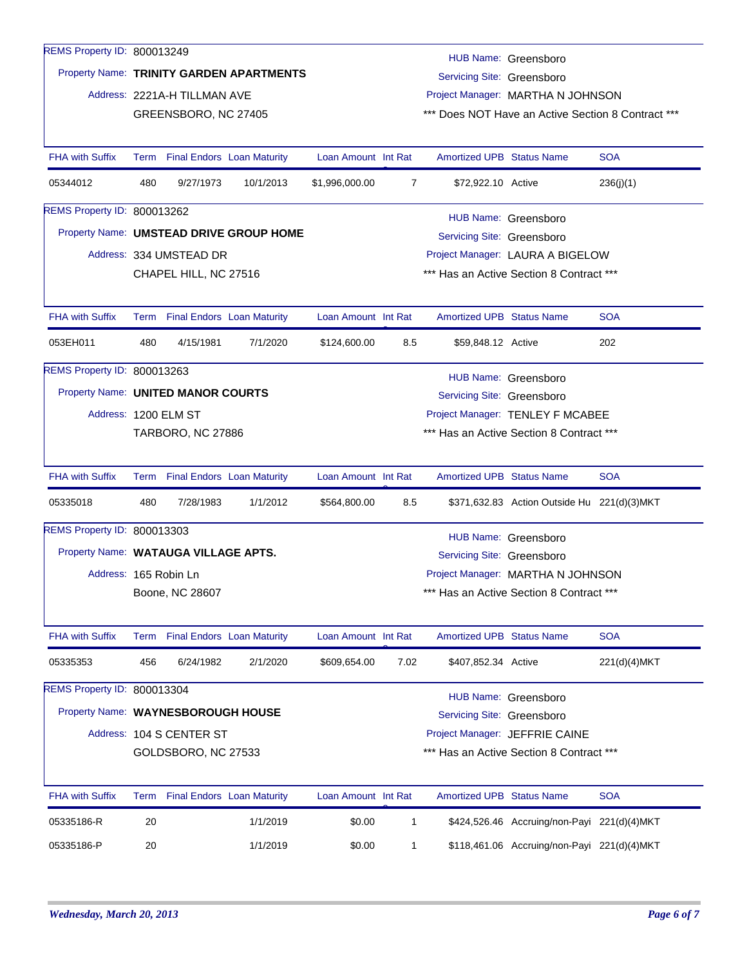| REMS Property ID: 800013249          |     |                                                                        |                                         |                     |                                          |                                  | HUB Name: Greensboro                               |              |  |  |  |
|--------------------------------------|-----|------------------------------------------------------------------------|-----------------------------------------|---------------------|------------------------------------------|----------------------------------|----------------------------------------------------|--------------|--|--|--|
|                                      |     | Property Name: TRINITY GARDEN APARTMENTS<br>Servicing Site: Greensboro |                                         |                     |                                          |                                  |                                                    |              |  |  |  |
|                                      |     | Address: 2221A-H TILLMAN AVE                                           |                                         |                     | Project Manager: MARTHA N JOHNSON        |                                  |                                                    |              |  |  |  |
|                                      |     | GREENSBORO, NC 27405                                                   |                                         |                     |                                          |                                  | *** Does NOT Have an Active Section 8 Contract *** |              |  |  |  |
|                                      |     |                                                                        |                                         |                     |                                          |                                  |                                                    |              |  |  |  |
| <b>FHA with Suffix</b>               |     | Term Final Endors Loan Maturity                                        |                                         | Loan Amount Int Rat |                                          | <b>Amortized UPB Status Name</b> |                                                    | <b>SOA</b>   |  |  |  |
| 05344012                             | 480 | 9/27/1973                                                              | 10/1/2013                               | \$1,996,000.00      | 7                                        | \$72,922.10 Active               |                                                    | 236(j)(1)    |  |  |  |
| REMS Property ID: 800013262          |     |                                                                        |                                         |                     |                                          |                                  | HUB Name: Greensboro                               |              |  |  |  |
|                                      |     |                                                                        | Property Name: UMSTEAD DRIVE GROUP HOME |                     |                                          | Servicing Site: Greensboro       |                                                    |              |  |  |  |
|                                      |     | Address: 334 UMSTEAD DR                                                |                                         |                     |                                          |                                  | Project Manager: LAURA A BIGELOW                   |              |  |  |  |
|                                      |     | CHAPEL HILL, NC 27516                                                  |                                         |                     |                                          |                                  | *** Has an Active Section 8 Contract ***           |              |  |  |  |
|                                      |     |                                                                        |                                         |                     |                                          |                                  |                                                    |              |  |  |  |
| <b>FHA with Suffix</b>               |     | Term Final Endors Loan Maturity                                        |                                         | Loan Amount Int Rat |                                          | <b>Amortized UPB Status Name</b> |                                                    | <b>SOA</b>   |  |  |  |
| 053EH011                             | 480 | 4/15/1981                                                              | 7/1/2020                                | \$124,600.00        | 8.5                                      | \$59,848.12 Active               |                                                    | 202          |  |  |  |
| REMS Property ID: 800013263          |     |                                                                        |                                         |                     |                                          |                                  | HUB Name: Greensboro                               |              |  |  |  |
| Property Name: UNITED MANOR COURTS   |     |                                                                        |                                         |                     |                                          | Servicing Site: Greensboro       |                                                    |              |  |  |  |
| Address: 1200 ELM ST                 |     |                                                                        |                                         |                     | Project Manager: TENLEY F MCABEE         |                                  |                                                    |              |  |  |  |
|                                      |     | <b>TARBORO, NC 27886</b>                                               |                                         |                     | *** Has an Active Section 8 Contract *** |                                  |                                                    |              |  |  |  |
|                                      |     |                                                                        |                                         |                     |                                          |                                  |                                                    |              |  |  |  |
| <b>FHA with Suffix</b>               |     | Term Final Endors Loan Maturity                                        |                                         | Loan Amount Int Rat |                                          | <b>Amortized UPB Status Name</b> |                                                    | <b>SOA</b>   |  |  |  |
| 05335018                             | 480 | 7/28/1983                                                              | 1/1/2012                                | \$564,800.00        | 8.5                                      |                                  | \$371,632.83 Action Outside Hu 221(d)(3) MKT       |              |  |  |  |
| REMS Property ID: 800013303          |     |                                                                        |                                         |                     |                                          |                                  | HUB Name: Greensboro                               |              |  |  |  |
| Property Name: WATAUGA VILLAGE APTS. |     |                                                                        |                                         |                     |                                          | Servicing Site: Greensboro       |                                                    |              |  |  |  |
| Address: 165 Robin Ln                |     |                                                                        |                                         |                     |                                          |                                  | Project Manager: MARTHA N JOHNSON                  |              |  |  |  |
|                                      |     | Boone, NC 28607                                                        |                                         |                     | Has an Active Section 8 Contract ***     |                                  |                                                    |              |  |  |  |
|                                      |     |                                                                        |                                         |                     |                                          |                                  |                                                    |              |  |  |  |
| <b>FHA with Suffix</b>               |     | Term Final Endors Loan Maturity                                        |                                         | Loan Amount Int Rat |                                          | <b>Amortized UPB Status Name</b> |                                                    | <b>SOA</b>   |  |  |  |
| 05335353                             | 456 | 6/24/1982                                                              | 2/1/2020                                | \$609,654.00        | 7.02                                     | \$407,852.34 Active              |                                                    | 221(d)(4)MKT |  |  |  |
| REMS Property ID: 800013304          |     |                                                                        |                                         |                     |                                          |                                  |                                                    |              |  |  |  |
| Property Name: WAYNESBOROUGH HOUSE   |     |                                                                        |                                         |                     |                                          | Servicing Site: Greensboro       | HUB Name: Greensboro                               |              |  |  |  |
|                                      |     | Address: 104 S CENTER ST                                               |                                         |                     |                                          |                                  | Project Manager: JEFFRIE CAINE                     |              |  |  |  |
|                                      |     | GOLDSBORO, NC 27533                                                    |                                         |                     |                                          |                                  | *** Has an Active Section 8 Contract ***           |              |  |  |  |
|                                      |     |                                                                        |                                         |                     |                                          |                                  |                                                    |              |  |  |  |
| <b>FHA with Suffix</b>               |     | Term Final Endors Loan Maturity                                        |                                         | Loan Amount Int Rat |                                          | <b>Amortized UPB Status Name</b> |                                                    | <b>SOA</b>   |  |  |  |
| 05335186-R                           | 20  |                                                                        | 1/1/2019                                | \$0.00              | 1                                        |                                  | \$424,526.46 Accruing/non-Payi 221(d)(4)MKT        |              |  |  |  |
| 05335186-P                           | 20  |                                                                        | 1/1/2019                                | \$0.00              | 1                                        |                                  | \$118,461.06 Accruing/non-Payi 221(d)(4)MKT        |              |  |  |  |
|                                      |     |                                                                        |                                         |                     |                                          |                                  |                                                    |              |  |  |  |